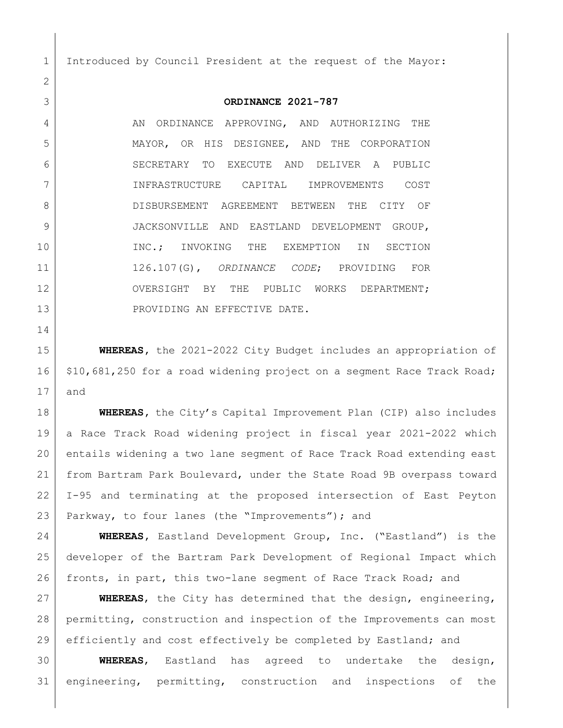Introduced by Council President at the request of the Mayor:

## **ORDINANCE 2021-787**

4 AN ORDINANCE APPROVING, AND AUTHORIZING THE MAYOR, OR HIS DESIGNEE, AND THE CORPORATION SECRETARY TO EXECUTE AND DELIVER A PUBLIC INFRASTRUCTURE CAPITAL IMPROVEMENTS COST 8 DISBURSEMENT AGREEMENT BETWEEN THE CITY OF JACKSONVILLE AND EASTLAND DEVELOPMENT GROUP, 10 | INC.; INVOKING THE EXEMPTION IN SECTION 126.107(G), *ORDINANCE CODE*; PROVIDING FOR 12 OVERSIGHT BY THE PUBLIC WORKS DEPARTMENT; 13 PROVIDING AN EFFECTIVE DATE.

 **WHEREAS,** the 2021-2022 City Budget includes an appropriation of 16 \$10,681,250 for a road widening project on a segment Race Track Road; and

 **WHEREAS,** the City's Capital Improvement Plan (CIP) also includes a Race Track Road widening project in fiscal year 2021-2022 which entails widening a two lane segment of Race Track Road extending east from Bartram Park Boulevard, under the State Road 9B overpass toward I-95 and terminating at the proposed intersection of East Peyton 23 Parkway, to four lanes (the "Improvements"); and

 **WHEREAS,** Eastland Development Group, Inc. ("Eastland") is the developer of the Bartram Park Development of Regional Impact which fronts, in part, this two-lane segment of Race Track Road; and

 **WHEREAS**, the City has determined that the design, engineering, permitting, construction and inspection of the Improvements can most efficiently and cost effectively be completed by Eastland; and

 **WHEREAS**, Eastland has agreed to undertake the design, engineering, permitting, construction and inspections of the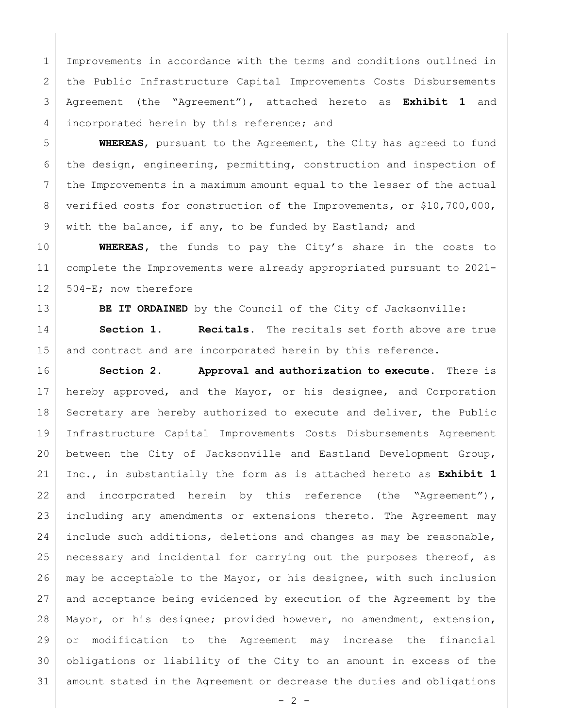1 Improvements in accordance with the terms and conditions outlined in 2 | the Public Infrastructure Capital Improvements Costs Disbursements Agreement (the "Agreement"), attached hereto as **Exhibit 1** and 4 incorporated herein by this reference; and

 **WHEREAS**, pursuant to the Agreement, the City has agreed to fund the design, engineering, permitting, construction and inspection of 7 the Improvements in a maximum amount equal to the lesser of the actual 8 verified costs for construction of the Improvements, or \$10,700,000, 9 with the balance, if any, to be funded by Eastland; and

 **WHEREAS,** the funds to pay the City's share in the costs to complete the Improvements were already appropriated pursuant to 2021- 12 | 504-E; now therefore

**BE IT ORDAINED** by the Council of the City of Jacksonville:

 **Section 1. Recitals.** The recitals set forth above are true 15 and contract and are incorporated herein by this reference.

 **Section 2. Approval and authorization to execute.** There is hereby approved, and the Mayor, or his designee, and Corporation 18 Secretary are hereby authorized to execute and deliver, the Public Infrastructure Capital Improvements Costs Disbursements Agreement between the City of Jacksonville and Eastland Development Group, Inc., in substantially the form as is attached hereto as **Exhibit 1** 22 and incorporated herein by this reference (the "Agreement"), including any amendments or extensions thereto. The Agreement may include such additions, deletions and changes as may be reasonable, 25 | necessary and incidental for carrying out the purposes thereof, as may be acceptable to the Mayor, or his designee, with such inclusion and acceptance being evidenced by execution of the Agreement by the Mayor, or his designee; provided however, no amendment, extension, or modification to the Agreement may increase the financial obligations or liability of the City to an amount in excess of the amount stated in the Agreement or decrease the duties and obligations

 $- 2 -$